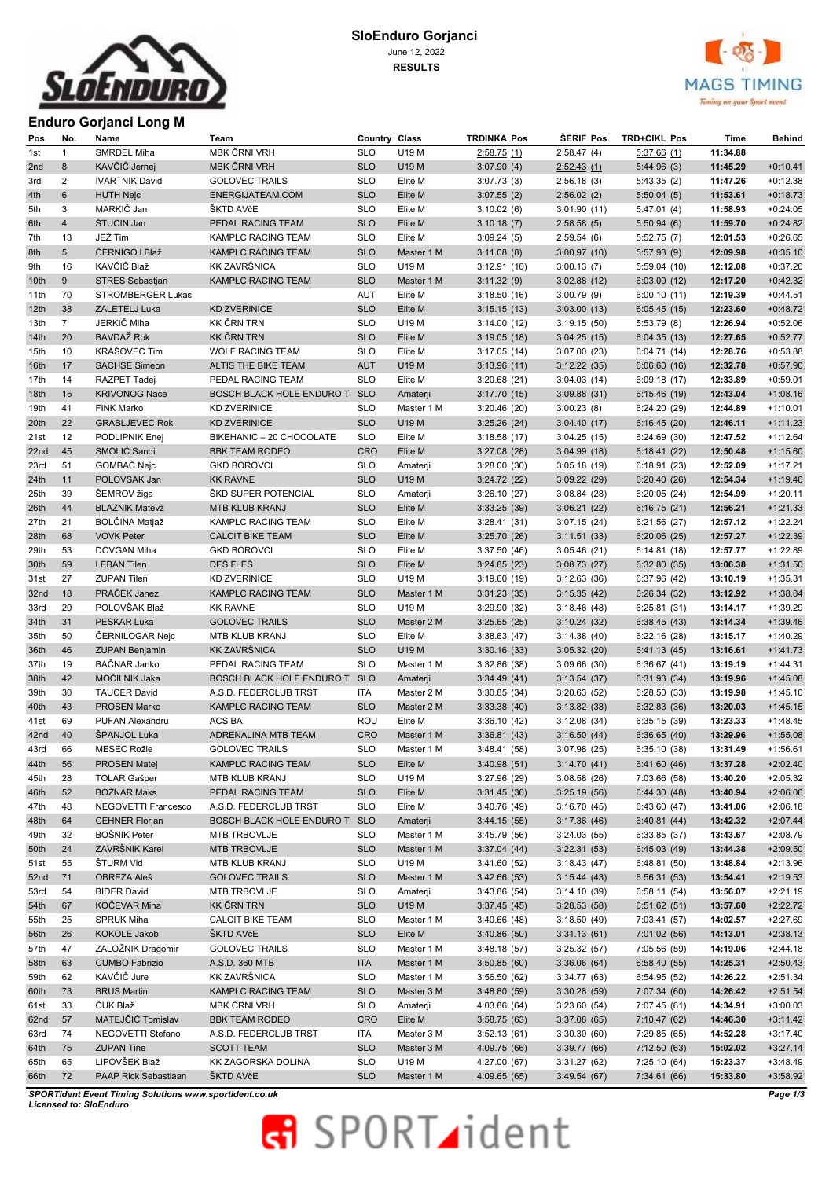| w.<br><i>ueriouro</i> |
|-----------------------|
|                       |

#### **SloEnduro Gorjanci**  June 12, 2022 **RESULTS**



## **Enduro Gorjanci Long M**

| Pos  | No.            | Name                     | Team                          | Country Class |                          | <b>TRDINKA Pos</b> | <b>SERIF Pos</b>            | <b>TRD+CIKL Pos</b> | Time                 | <b>Behind</b> |
|------|----------------|--------------------------|-------------------------------|---------------|--------------------------|--------------------|-----------------------------|---------------------|----------------------|---------------|
| 1st  | $\mathbf{1}$   | SMRDEL Miha              | MBK ČRNI VRH                  | <b>SLO</b>    | U19 M                    | 2:58.75(1)         | 2:58.47(4)                  | 5:37.66(1)          | 11:34.88             |               |
| 2nd  | 8              | KAVČIČ Jernej            | MBK ČRNI VRH                  | <b>SLO</b>    | U19 M                    | 3:07.90(4)         | 2:52.43(1)                  | 5:44.96(3)          | 11:45.29             | $+0:10.41$    |
| 3rd  | 2              | <b>IVARTNIK David</b>    | <b>GOLOVEC TRAILS</b>         | <b>SLO</b>    | Elite M                  | 3:07.73(3)         | 2:56.18(3)                  | 5:43.35 (2)         | 11:47.26             | $+0:12.38$    |
| 4th  | $6\phantom{1}$ | <b>HUTH Nejc</b>         | ENERGIJATEAM.COM              | <b>SLO</b>    | Elite M                  | 3:07.55(2)         | 2:56.02(2)                  | 5:50.04(5)          | 11:53.61             | $+0:18.73$    |
| 5th  | 3              | MARKIČ Jan               | ŠKTD AVčE                     | <b>SLO</b>    | Elite M                  | 3:10.02(6)         | 3:01.90(11)                 | 5:47.01(4)          | 11:58.93             | $+0:24.05$    |
| 6th  | $\overline{4}$ | ŠTUCIN Jan               | PEDAL RACING TEAM             | <b>SLO</b>    | Elite M                  | 3:10.18(7)         | 2:58.58(5)                  | 5:50.94(6)          | 11:59.70             | $+0:24.82$    |
| 7th  | 13             | JEŽ Tim                  | KAMPLC RACING TEAM            | <b>SLO</b>    | Elite M                  | 3:09.24(5)         | 2:59.54(6)                  | 5:52.75(7)          | 12:01.53             | $+0:26.65$    |
| 8th  | 5 <sup>5</sup> | ČERNIGOJ Blaž            | KAMPLC RACING TEAM            | <b>SLO</b>    | Master 1 M               | 3:11.08(8)         | 3:00.97(10)                 | 5:57.93(9)          | 12:09.98             | $+0:35.10$    |
| 9th  | 16             | KAVČIČ Blaž              | KK ZAVRŠNICA                  | <b>SLO</b>    | U19 M                    | 3:12.91(10)        | 3:00.13(7)                  | 5:59.04 (10)        | 12:12.08             | $+0:37.20$    |
| 10th | 9              | <b>STRES Sebastjan</b>   | KAMPLC RACING TEAM            | <b>SLO</b>    | Master 1 M               |                    | 3:02.88(12)                 |                     | 12:17.20             | $+0:42.32$    |
|      | 70             | <b>STROMBERGER Lukas</b> |                               |               | Elite M                  | 3:11.32(9)         |                             | 6:03.00(12)         |                      |               |
| 11th |                | ZALETELJ Luka            |                               | AUT           |                          | 3:18.50(16)        | 3:00.79(9)                  | 6:00.10(11)         | 12:19.39             | $+0:44.51$    |
| 12th | 38             |                          | <b>KD ZVERINICE</b>           | <b>SLO</b>    | Elite M                  | 3:15.15(13)        | 3:03.00(13)                 | 6:05.45(15)         | 12:23.60             | $+0:48.72$    |
| 13th | $\overline{7}$ | JERKIČ Miha              | KK ČRN TRN                    | <b>SLO</b>    | U19 M                    | 3:14.00(12)        | 3:19.15(50)                 | 5:53.79(8)          | 12:26.94             | $+0:52.06$    |
| 14th | 20             | BAVDAŽ Rok               | <b>KK ČRN TRN</b>             | <b>SLO</b>    | Elite M                  | 3:19.05(18)        | 3:04.25(15)                 | 6:04.35(13)         | 12:27.65             | $+0:52.77$    |
| 15th | 10             | KRAŠOVEC Tim             | WOLF RACING TEAM              | <b>SLO</b>    | Elite M                  | 3:17.05(14)        | 3:07.00(23)                 | 6:04.71(14)         | 12:28.76             | $+0:53.88$    |
| 16th | 17             | <b>SACHSE Simeon</b>     | ALTIS THE BIKE TEAM           | <b>AUT</b>    | U19 M                    | 3:13.96(11)        | 3:12.22(35)                 | 6:06.60(16)         | 12:32.78             | $+0:57.90$    |
| 17th | 14             | RAZPET Tadej             | PEDAL RACING TEAM             | <b>SLO</b>    | Elite M                  | 3:20.68(21)        | 3:04.03(14)                 | 6:09.18(17)         | 12:33.89             | $+0:59.01$    |
| 18th | 15             | <b>KRIVONOG Nace</b>     | BOSCH BLACK HOLE ENDURO T SLO |               | Amaterji                 | 3:17.70(15)        | 3:09.88(31)                 | 6:15.46(19)         | 12:43.04             | $+1:08.16$    |
| 19th | 41             | FINK Marko               | <b>KD ZVERINICE</b>           | <b>SLO</b>    | Master 1 M               | 3:20.46(20)        | 3:00.23(8)                  | 6:24.20(29)         | 12:44.89             | $+1:10.01$    |
| 20th | 22             | <b>GRABLJEVEC Rok</b>    | <b>KD ZVERINICE</b>           | <b>SLO</b>    | U19 M                    | 3:25.26(24)        | 3:04.40(17)                 | 6:16.45(20)         | 12:46.11             | $+1:11.23$    |
| 21st | 12             | PODLIPNIK Enej           | BIKEHANIC - 20 CHOCOLATE      | <b>SLO</b>    | Elite M                  | 3:18.58(17)        | 3:04.25(15)                 | 6:24.69(30)         | 12:47.52             | $+1:12.64$    |
| 22nd | 45             | SMOLIĆ Sandi             | <b>BBK TEAM RODEO</b>         | <b>CRO</b>    | Elite M                  | 3:27.08(28)        | 3:04.99(18)                 | 6:18.41(22)         | 12:50.48             | $+1:15.60$    |
| 23rd | 51             | GOMBAČ Nejc              | <b>GKD BOROVCI</b>            | <b>SLO</b>    | Amaterji                 | 3:28.00(30)        | 3:05.18(19)                 | 6:18.91(23)         | 12:52.09             | $+1:17.21$    |
| 24th | 11             | POLOVSAK Jan             | <b>KK RAVNE</b>               | <b>SLO</b>    | U19 M                    | 3:24.72(22)        | 3:09.22(29)                 | 6:20.40(26)         | 12:54.34             | $+1:19.46$    |
| 25th | 39             | ŠEMROV žiga              | ŠKD SUPER POTENCIAL           | <b>SLO</b>    | Amaterji                 | 3:26.10(27)        | 3:08.84(28)                 | 6:20.05(24)         | 12:54.99             | $+1:20.11$    |
| 26th | 44             | <b>BLAZNIK Matevž</b>    | MTB KLUB KRANJ                | <b>SLO</b>    | Elite M                  | 3:33.25(39)        | 3:06.21(22)                 | 6:16.75(21)         | 12:56.21             | $+1:21.33$    |
| 27th | 21             | <b>BOLČINA Matjaž</b>    | KAMPLC RACING TEAM            | <b>SLO</b>    | Elite M                  | 3:28.41(31)        | 3:07.15(24)                 | 6:21.56(27)         | 12:57.12             | $+1:22.24$    |
| 28th | 68             | <b>VOVK Peter</b>        | <b>CALCIT BIKE TEAM</b>       | <b>SLO</b>    | Elite M                  | 3:25.70(26)        | 3:11.51(33)                 | 6:20.06(25)         | 12:57.27             | $+1:22.39$    |
| 29th | 53             | DOVGAN Miha              | <b>GKD BOROVCI</b>            | <b>SLO</b>    | Elite M                  | 3:37.50(46)        | 3:05.46(21)                 | 6:14.81(18)         | 12:57.77             | $+1:22.89$    |
| 30th | 59             | <b>LEBAN Tilen</b>       | DEŠ FLEŠ                      | <b>SLO</b>    | Elite M                  | 3:24.85(23)        | 3:08.73(27)                 | 6:32.80(35)         | 13:06.38             | $+1:31.50$    |
| 31st | 27             | <b>ZUPAN Tilen</b>       | <b>KD ZVERINICE</b>           | <b>SLO</b>    | U19 M                    | 3:19.60(19)        | 3:12.63(36)                 | 6:37.96 (42)        | 13:10.19             | $+1:35.31$    |
| 32nd | 18             | PRAČEK Janez             | KAMPLC RACING TEAM            | <b>SLO</b>    | Master 1 M               | 3:31.23(35)        | 3:15.35(42)                 | 6:26.34(32)         | 13:12.92             | $+1:38.04$    |
| 33rd | 29             | POLOVŠAK Blaž            | <b>KK RAVNE</b>               | <b>SLO</b>    | U19 M                    | 3:29.90(32)        | 3:18.46(48)                 | 6:25.81(31)         | 13:14.17             | $+1:39.29$    |
|      | 31             | PESKAR Luka              | <b>GOLOVEC TRAILS</b>         | <b>SLO</b>    | Master 2 M               |                    |                             |                     | 13:14.34             | $+1:39.46$    |
| 34th |                |                          |                               |               |                          | 3:25.65(25)        | 3:10.24(32)                 | 6:38.45(43)         |                      |               |
| 35th | 50             | ČERNILOGAR Nejc          | MTB KLUB KRANJ                | <b>SLO</b>    | Elite M                  | 3:38.63(47)        | 3:14.38(40)                 | 6:22.16(28)         | 13:15.17             | $+1:40.29$    |
| 36th | 46             | <b>ZUPAN Benjamin</b>    | KK ZAVRŠNICA                  | <b>SLO</b>    | U19 M                    | 3:30.16(33)        | 3:05.32(20)                 | 6:41.13(45)         | 13:16.61             | $+1:41.73$    |
| 37th | 19             | BAČNAR Janko             | PEDAL RACING TEAM             | <b>SLO</b>    | Master 1 M               | 3:32.86(38)        | 3:09.66 (30)                | 6:36.67(41)         | 13:19.19             | $+1:44.31$    |
| 38th | 42             | MOČILNIK Jaka            | BOSCH BLACK HOLE ENDURO T SLO |               | Amaterji                 | 3:34.49(41)        | 3:13.54(37)                 | 6:31.93(34)         | 13:19.96             | $+1:45.08$    |
| 39th | 30             | <b>TAUCER David</b>      | A.S.D. FEDERCLUB TRST         | <b>ITA</b>    | Master 2 M               | 3:30.85(34)        | 3:20.63(52)                 | 6:28.50(33)         | 13:19.98             | $+1:45.10$    |
| 40th | 43             | PROSEN Marko             | KAMPLC RACING TEAM            | <b>SLO</b>    | Master 2 M               | 3:33.38(40)        | 3:13.82(38)                 | 6:32.83(36)         | 13:20.03             | $+1:45.15$    |
| 41st | 69             | PUFAN Alexandru          | ACS BA                        | ROU           | Elite M                  | 3:36.10(42)        | 3:12.08(34)                 | 6:35.15(39)         | 13:23.33             | $+1:48.45$    |
| 42nd | 40             | ŠPANJOL Luka             | ADRENALINA MTB TEAM           | CRO           | Master 1 M               | 3:36.81(43)        | 3:16.50(44)                 | 6:36.65(40)         | 13:29.96             | $+1:55.08$    |
| 43rd | 66             | MESEC Rožle              | <b>GOLOVEC TRAILS</b>         | <b>SLO</b>    | Master 1 M               | 3:48.41(58)        | 3:07.98(25)                 | 6:35.10(38)         | 13:31.49             | $+1:56.61$    |
| 44th | 56             | PROSEN Matej             | KAMPLC RACING TEAM            | SLO           | Elite M                  |                    | $3:40.98(51)$ $3:14.70(41)$ | 6:41.60(46)         | 13:37.28             | $+2:02.40$    |
| 45th | 28             | <b>TOLAR Gašper</b>      | MTB KLUB KRANJ                | <b>SLO</b>    | U19 M                    | 3:27.96 (29)       | 3:08.58(26)                 | 7:03.66 (58)        | 13:40.20             | $+2:05.32$    |
| 46th | 52             | <b>BOŽNAR Maks</b>       | PEDAL RACING TEAM             | <b>SLO</b>    | Elite M                  | 3:31.45(36)        | 3:25.19(56)                 | 6:44.30(48)         | 13:40.94             | $+2:06.06$    |
| 47th | 48             | NEGOVETTI Francesco      | A.S.D. FEDERCLUB TRST         | <b>SLO</b>    | Elite M                  | 3:40.76 (49)       | 3:16.70(45)                 | 6:43.60(47)         | 13:41.06             | $+2:06.18$    |
| 48th | 64             | <b>CEHNER Florjan</b>    | BOSCH BLACK HOLE ENDURO T     | <b>SLO</b>    | Amaterji                 | 3:44.15(55)        | 3:17.36(46)                 | 6:40.81(44)         | 13:42.32             | $+2:07.44$    |
| 49th | 32             | <b>BOŠNIK Peter</b>      | MTB TRBOVLJE                  | <b>SLO</b>    | Master 1 M               | 3:45.79(56)        | 3:24.03(55)                 | 6:33.85(37)         | 13:43.67             | $+2:08.79$    |
| 50th | 24             | ZAVRŠNIK Karel           | MTB TRBOVLJE                  | <b>SLO</b>    | Master 1 M               | 3:37.04(44)        | 3:22.31(53)                 | 6:45.03(49)         | 13:44.38             | $+2:09.50$    |
| 51st | 55             | ŠTURM Vid                | MTB KLUB KRANJ                | <b>SLO</b>    | U19 M                    | 3:41.60(52)        | 3:18.43(47)                 | 6:48.81(50)         | 13:48.84             | $+2:13.96$    |
| 52nd | 71             | OBREZA Aleš              | <b>GOLOVEC TRAILS</b>         | <b>SLO</b>    | Master 1 M               | 3:42.66(53)        | 3:15.44(43)                 | 6:56.31(53)         | 13:54.41             | $+2:19.53$    |
| 53rd | 54             | <b>BIDER David</b>       | MTB TRBOVLJE                  | <b>SLO</b>    | Amaterji                 | 3:43.86(54)        | 3:14.10(39)                 | 6:58.11(54)         | 13:56.07             | $+2:21.19$    |
| 54th | 67             | KOČEVAR Miha             | <b>KK ČRN TRN</b>             | <b>SLO</b>    | U19 M                    | 3:37.45(45)        | 3:28.53(58)                 | 6:51.62(51)         | 13:57.60             | $+2:22.72$    |
| 55th | 25             | SPRUK Miha               | <b>CALCIT BIKE TEAM</b>       | <b>SLO</b>    | Master 1 M               | 3:40.66(48)        | 3:18.50(49)                 | 7:03.41 (57)        | 14:02.57             | $+2:27.69$    |
| 56th | 26             | KOKOLE Jakob             | <b>SKTD AVČE</b>              | <b>SLO</b>    | Elite M                  | 3:40.86(50)        | 3:31.13(61)                 | 7:01.02(56)         | 14:13.01             | $+2:38.13$    |
| 57th | 47             | ZALOŽNIK Dragomir        | <b>GOLOVEC TRAILS</b>         | <b>SLO</b>    | Master 1 M               | 3:48.18(57)        | 3:25.32(57)                 | 7:05.56 (59)        | 14:19.06             | $+2:44.18$    |
| 58th | 63             | <b>CUMBO Fabrizio</b>    | A.S.D. 360 MTB                | <b>ITA</b>    | Master 1 M               | 3:50.85(60)        | 3:36.06(64)                 | 6:58.40(55)         | 14:25.31             | $+2:50.43$    |
|      |                | KAVČIČ Jure              | KK ZAVRŠNICA                  |               |                          |                    |                             |                     |                      | $+2:51.34$    |
| 59th | 62<br>73       | <b>BRUS Martin</b>       | KAMPLC RACING TEAM            | <b>SLO</b>    | Master 1 M<br>Master 3 M | 3:56.50(62)        | 3:34.77(63)                 | 6:54.95(52)         | 14:26.22<br>14:26.42 |               |
| 60th |                |                          |                               | <b>SLO</b>    |                          | 3:48.80(59)        | 3:30.28(59)                 | 7:07.34 (60)        |                      | $+2:51.54$    |
| 61st | 33             | ČUK Blaž                 | MBK ČRNI VRH                  | <b>SLO</b>    | Amaterji                 | 4:03.86 (64)       | 3:23.60(54)                 | 7:07.45 (61)        | 14:34.91             | $+3:00.03$    |
| 62nd | 57             | MATEJČIĆ Tomislav        | <b>BBK TEAM RODEO</b>         | <b>CRO</b>    | Elite M                  | 3:58.75(63)        | 3:37.08(65)                 | 7:10.47 (62)        | 14:46.30             | $+3:11.42$    |
| 63rd | 74             | NEGOVETTI Stefano        | A.S.D. FEDERCLUB TRST         | ITA           | Master 3 M               | 3:52.13(61)        | 3:30.30(60)                 | 7:29.85 (65)        | 14:52.28             | $+3:17.40$    |
| 64th | 75             | <b>ZUPAN Tine</b>        | <b>SCOTT TEAM</b>             | <b>SLO</b>    | Master 3 M               | 4:09.75 (66)       | 3:39.77(66)                 | 7:12.50(63)         | 15:02.02             | $+3:27.14$    |
| 65th | 65             | LIPOVŠEK Blaž            | KK ZAGORSKA DOLINA            | <b>SLO</b>    | U19 M                    | 4:27.00 (67)       | 3:31.27(62)                 | 7:25.10 (64)        | 15:23.37             | $+3:48.49$    |
| 66th | 72             | PAAP Rick Sebastiaan     | ŠKTD AVčE                     | <b>SLO</b>    | Master 1 M               | 4:09.65(65)        | 3:49.54(67)                 | 7:34.61 (66)        | 15:33.80             | $+3:58.92$    |
|      |                |                          |                               |               |                          |                    |                             |                     |                      |               |

*SPORTident Event Timing Solutions www.sportident.co.uk Licensed to: SloEnduro*

## **R** SPORTident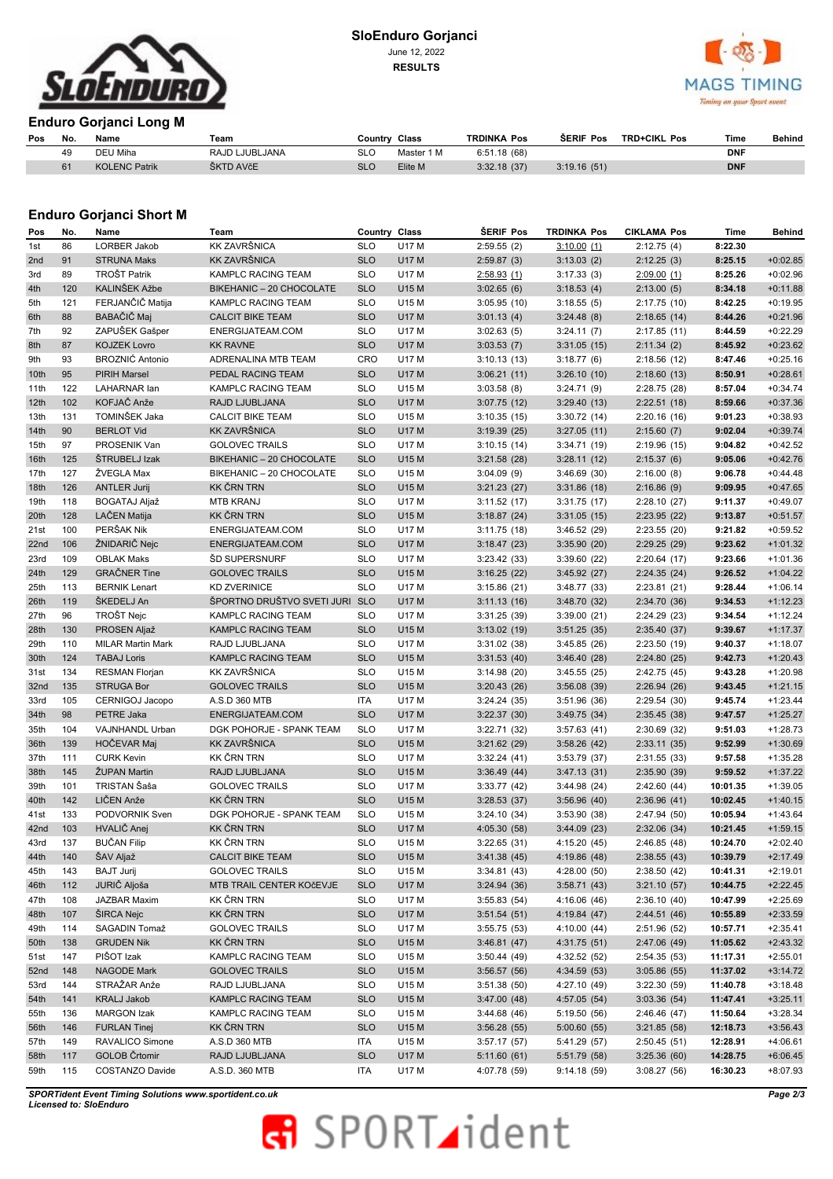

### **SloEnduro Gorjanci**  June 12, 2022

**RESULTS**



#### **Enduro Gorjanci Long M**

| Pos | No. | Name                 | Team           | Country Class |            | <b>TRDINKA Pos</b> | <b>SERIF Pos</b> | <b>TRD+CIKL Pos</b> | Time       | Behind |
|-----|-----|----------------------|----------------|---------------|------------|--------------------|------------------|---------------------|------------|--------|
|     | 49  | DEU Miha             | RAJD LJUBLJANA | SLC           | Master 1 M | 6:51.18(68)        |                  |                     | <b>DNF</b> |        |
|     |     | <b>KOLENC Patrik</b> | ŠKTD AVčE      | <b>SLC</b>    | Elite M    | 3:32.18(37)        | 3:19.16(51)      |                     | <b>DNF</b> |        |

#### **Enduro Gorjanci Short M**

| Pos  | No. | Name                     | Team                           | Country Class |              | <b>SERIF Pos</b> | <b>TRDINKA Pos</b> | <b>CIKLAMA Pos</b> | Time     | Behind     |
|------|-----|--------------------------|--------------------------------|---------------|--------------|------------------|--------------------|--------------------|----------|------------|
| 1st  | 86  | LORBER Jakob             | <b>KK ZAVRŠNICA</b>            | <b>SLO</b>    | U17 M        | 2:59.55(2)       | 3:10.00(1)         | 2:12.75(4)         | 8:22.30  |            |
| 2nd  | 91  | <b>STRUNA Maks</b>       | <b>KK ZAVRŠNICA</b>            | <b>SLO</b>    | <b>U17 M</b> | 2:59.87(3)       | 3:13.03(2)         | 2:12.25(3)         | 8:25.15  | $+0:02.85$ |
| 3rd  | 89  | TROŠT Patrik             | KAMPLC RACING TEAM             | <b>SLO</b>    | U17 M        | 2:58.93(1)       | 3:17.33(3)         | 2:09.00(1)         | 8:25.26  | $+0:02.96$ |
| 4th  | 120 | KALINŠEK Ažbe            | BIKEHANIC - 20 CHOCOLATE       | <b>SLO</b>    | U15 M        | 3:02.65(6)       | 3:18.53(4)         | 2:13.00(5)         | 8:34.18  | $+0:11.88$ |
| 5th  | 121 | FERJANČIČ Matija         | KAMPLC RACING TEAM             | <b>SLO</b>    | U15 M        | 3:05.95(10)      | 3:18.55(5)         | 2:17.75(10)        | 8:42.25  | $+0:19.95$ |
| 6th  | 88  | BABAČIČ Maj              | <b>CALCIT BIKE TEAM</b>        | <b>SLO</b>    | <b>U17 M</b> | 3:01.13(4)       | 3:24.48(8)         | 2:18.65(14)        | 8:44.26  | $+0:21.96$ |
| 7th  | 92  | ZAPUŠEK Gašper           | ENERGIJATEAM.COM               | <b>SLO</b>    | U17 M        | 3:02.63(5)       | 3:24.11(7)         | 2:17.85(11)        | 8:44.59  | $+0:22.29$ |
| 8th  | 87  | <b>KOJZEK Lovro</b>      | <b>KK RAVNE</b>                | <b>SLO</b>    | <b>U17 M</b> | 3:03.53(7)       | 3:31.05(15)        | 2:11.34(2)         | 8:45.92  | $+0:23.62$ |
| 9th  | 93  | <b>BROZNIĆ Antonio</b>   | ADRENALINA MTB TEAM            | CRO           | U17 M        | 3:10.13(13)      | 3:18.77(6)         | 2:18.56(12)        | 8:47.46  | $+0:25.16$ |
| 10th | 95  | <b>PIRIH Marsel</b>      | PEDAL RACING TEAM              | <b>SLO</b>    | <b>U17 M</b> | 3:06.21(11)      | 3:26.10(10)        | 2:18.60(13)        | 8:50.91  | $+0:28.61$ |
| 11th | 122 | LAHARNAR lan             | KAMPLC RACING TEAM             | <b>SLO</b>    | U15 M        | 3:03.58(8)       | 3:24.71(9)         | 2:28.75(28)        | 8:57.04  | $+0:34.74$ |
| 12th | 102 | KOFJAČ Anže              | RAJD LJUBLJANA                 | <b>SLO</b>    | <b>U17 M</b> | 3:07.75(12)      | 3:29.40(13)        | 2:22.51(18)        | 8:59.66  | $+0:37.36$ |
| 13th | 131 | TOMINŠEK Jaka            | <b>CALCIT BIKE TEAM</b>        | <b>SLO</b>    | U15 M        | 3:10.35(15)      | 3:30.72(14)        | 2:20.16(16)        | 9:01.23  | $+0:38.93$ |
| 14th | 90  | <b>BERLOT Vid</b>        | KK ZAVRŠNICA                   | <b>SLO</b>    | <b>U17 M</b> | 3:19.39(25)      | 3:27.05(11)        | 2:15.60(7)         | 9:02.04  | $+0:39.74$ |
| 15th | 97  | PROSENIK Van             | <b>GOLOVEC TRAILS</b>          | <b>SLO</b>    | U17 M        | 3:10.15(14)      | 3:34.71(19)        | 2:19.96(15)        | 9:04.82  | $+0:42.52$ |
| 16th | 125 | ŠTRUBELJ Izak            | BIKEHANIC - 20 CHOCOLATE       | <b>SLO</b>    | U15 M        | 3:21.58(28)      | 3:28.11(12)        | 2:15.37(6)         | 9:05.06  | $+0:42.76$ |
| 17th | 127 | ŽVEGLA Max               | BIKEHANIC - 20 CHOCOLATE       | <b>SLO</b>    | U15 M        | 3:04.09(9)       | 3:46.69(30)        | 2:16.00(8)         | 9:06.78  | $+0:44.48$ |
| 18th | 126 | <b>ANTLER Jurij</b>      | <b>KK ČRN TRN</b>              | <b>SLO</b>    | U15 M        | 3:21.23(27)      | 3:31.86(18)        | 2:16.86(9)         | 9:09.95  | $+0:47.65$ |
| 19th | 118 | BOGATAJ Aljaž            | <b>MTB KRANJ</b>               | <b>SLO</b>    | U17 M        | 3:11.52(17)      | 3:31.75(17)        | 2:28.10 (27)       | 9:11.37  | $+0:49.07$ |
| 20th | 128 | LAČEN Matija             | <b>KK ČRN TRN</b>              | <b>SLO</b>    | U15 M        | 3:18.87(24)      | 3:31.05(15)        | 2:23.95(22)        | 9:13.87  | $+0:51.57$ |
| 21st | 100 | PERŠAK Nik               | ENERGIJATEAM.COM               | <b>SLO</b>    | U17 M        | 3:11.75(18)      | 3:46.52(29)        | 2:23.55(20)        | 9:21.82  | $+0:59.52$ |
| 22nd | 106 | ŽNIDARIČ Nejc            | ENERGIJATEAM.COM               | <b>SLO</b>    | <b>U17 M</b> | 3:18.47(23)      |                    | 2:29.25(29)        | 9:23.62  | $+1:01.32$ |
|      | 109 | <b>OBLAK Maks</b>        | ŠD SUPERSNURF                  | <b>SLO</b>    | U17 M        |                  | 3:35.90(20)        |                    |          |            |
| 23rd |     |                          |                                |               |              | 3:23.42(33)      | 3:39.60(22)        | 2:20.64(17)        | 9:23.66  | $+1:01.36$ |
| 24th | 129 | <b>GRAČNER Tine</b>      | <b>GOLOVEC TRAILS</b>          | <b>SLO</b>    | U15 M        | 3:16.25(22)      | 3:45.92(27)        | 2:24.35(24)        | 9:26.52  | $+1:04.22$ |
| 25th | 113 | <b>BERNIK Lenart</b>     | <b>KD ZVERINICE</b>            | <b>SLO</b>    | U17 M        | 3:15.86(21)      | 3:48.77(33)        | 2:23.81(21)        | 9:28.44  | $+1:06.14$ |
| 26th | 119 | ŠKEDELJ An               | ŠPORTNO DRUŠTVO SVETI JURI SLO |               | <b>U17 M</b> | 3:11.13(16)      | 3:48.70(32)        | 2:34.70(36)        | 9:34.53  | $+1:12.23$ |
| 27th | 96  | TROŠT Nejc               | KAMPLC RACING TEAM             | <b>SLO</b>    | U17 M        | 3:31.25(39)      | 3:39.00(21)        | 2:24.29(23)        | 9:34.54  | $+1:12.24$ |
| 28th | 130 | PROSEN Aljaž             | KAMPLC RACING TEAM             | <b>SLO</b>    | U15 M        | 3:13.02(19)      | 3:51.25(35)        | 2:35.40(37)        | 9:39.67  | $+1:17.37$ |
| 29th | 110 | <b>MILAR Martin Mark</b> | RAJD LJUBLJANA                 | <b>SLO</b>    | U17 M        | 3:31.02(38)      | 3:45.85(26)        | 2:23.50(19)        | 9:40.37  | $+1:18.07$ |
| 30th | 124 | <b>TABAJ Loris</b>       | KAMPLC RACING TEAM             | <b>SLO</b>    | U15 M        | 3:31.53(40)      | 3:46.40(28)        | 2:24.80(25)        | 9:42.73  | $+1:20.43$ |
| 31st | 134 | <b>RESMAN Florjan</b>    | KK ZAVRŠNICA                   | <b>SLO</b>    | U15 M        | 3:14.98(20)      | 3:45.55(25)        | 2:42.75 (45)       | 9:43.28  | $+1:20.98$ |
| 32nd | 135 | <b>STRUGA Bor</b>        | <b>GOLOVEC TRAILS</b>          | <b>SLO</b>    | U15 M        | 3:20.43(26)      | 3:56.08(39)        | 2:26.94(26)        | 9:43.45  | $+1:21.15$ |
| 33rd | 105 | CERNIGOJ Jacopo          | A.S.D 360 MTB                  | <b>ITA</b>    | U17 M        | 3:24.24(35)      | 3:51.96(36)        | 2:29.54(30)        | 9:45.74  | $+1:23.44$ |
| 34th | 98  | PETRE Jaka               | ENERGIJATEAM.COM               | <b>SLO</b>    | <b>U17 M</b> | 3:22.37(30)      | 3:49.75(34)        | 2:35.45(38)        | 9:47.57  | $+1:25.27$ |
| 35th | 104 | VAJNHANDL Urban          | DGK POHORJE - SPANK TEAM       | <b>SLO</b>    | U17 M        | 3:22.71(32)      | 3:57.63(41)        | 2:30.69(32)        | 9:51.03  | $+1:28.73$ |
| 36th | 139 | HOČEVAR Maj              | <b>KK ZAVRŠNICA</b>            | <b>SLO</b>    | U15 M        | 3:21.62(29)      | 3:58.26(42)        | 2:33.11(35)        | 9:52.99  | $+1:30.69$ |
| 37th | 111 | <b>CURK Kevin</b>        | <b>KK ČRN TRN</b>              | <b>SLO</b>    | U17 M        | 3:32.24(41)      | 3:53.79 (37)       | 2:31.55(33)        | 9:57.58  | $+1:35.28$ |
| 38th | 145 | ŽUPAN Martin             | RAJD LJUBLJANA                 | <b>SLO</b>    | U15 M        | 3:36.49(44)      | 3:47.13(31)        | 2:35.90(39)        | 9:59.52  | $+1:37.22$ |
| 39th | 101 | TRISTAN Šaša             | <b>GOLOVEC TRAILS</b>          | <b>SLO</b>    | U17 M        | 3:33.77(42)      | 3:44.98(24)        | 2:42.60(44)        | 10:01.35 | $+1:39.05$ |
| 40th | 142 | LIČEN Anže               | <b>KK ČRN TRN</b>              | <b>SLO</b>    | U15 M        | 3:28.53(37)      | 3:56.96(40)        | 2:36.96(41)        | 10:02.45 | $+1:40.15$ |
| 41st | 133 | PODVORNIK Sven           | DGK POHORJE - SPANK TEAM       | <b>SLO</b>    | U15 M        | 3:24.10(34)      | 3:53.90(38)        | 2:47.94 (50)       | 10:05.94 | $+1:43.64$ |
| 42nd | 103 | HVALIČ Anej              | <b>KK ČRN TRN</b>              | <b>SLO</b>    | <b>U17 M</b> | 4:05.30 (58)     | 3:44.09(23)        | 2:32.06(34)        | 10:21.45 | $+1:59.15$ |
| 43rd | 137 | <b>BUČAN Filip</b>       | KK ČRN TRN                     | <b>SLO</b>    | U15 M        | 3:22.65(31)      | 4:15.20(45)        | 2:46.85(48)        | 10:24.70 | $+2:02.40$ |
| 44th | 140 | ŠAV Aljaž                | CALCIT BIKE TEAM               | <b>SLO</b>    | U15 M        | 3:41.38(45)      | 4:19.86 (48)       | 2:38.55(43)        | 10:39.79 | $+2:17.49$ |
| 45th | 143 | <b>BAJT Jurij</b>        | <b>GOLOVEC TRAILS</b>          | <b>SLO</b>    | U15 M        | 3:34.81(43)      | 4:28.00 (50)       | 2:38.50(42)        | 10:41.31 | $+2:19.01$ |
| 46th | 112 | JURIČ Aljoša             | MTB TRAIL CENTER KOČEVJE       | <b>SLO</b>    | U17 M        | 3:24.94(36)      | 3:58.71(43)        | 3:21.10(57)        | 10:44.75 | $+2:22.45$ |
| 47th | 108 | JAZBAR Maxim             | <b>KK ČRN TRN</b>              | <b>SLO</b>    | U17 M        | 3:55.83(54)      | 4:16.06 (46)       | 2:36.10(40)        | 10:47.99 | $+2:25.69$ |
| 48th | 107 | ŠIRCA Nejc               | <b>KK ČRN TRN</b>              | <b>SLO</b>    | U17 M        | 3:51.54(51)      | 4:19.84(47)        | 2:44.51(46)        | 10:55.89 | $+2:33.59$ |
| 49th | 114 | SAGADIN Tomaž            | <b>GOLOVEC TRAILS</b>          | <b>SLO</b>    | U17 M        | 3:55.75(53)      | 4:10.00 (44)       | 2:51.96 (52)       | 10:57.71 | $+2:35.41$ |
| 50th | 138 | <b>GRUDEN Nik</b>        | <b>KK ČRN TRN</b>              | <b>SLO</b>    | U15 M        | 3:46.81(47)      | 4:31.75(51)        | 2:47.06 (49)       | 11:05.62 | $+2:43.32$ |
| 51st | 147 | PIŠOT Izak               | KAMPLC RACING TEAM             | <b>SLO</b>    | U15 M        | 3:50.44(49)      | 4:32.52 (52)       | 2:54.35(53)        | 11:17.31 | $+2:55.01$ |
| 52nd | 148 | NAGODE Mark              | <b>GOLOVEC TRAILS</b>          | <b>SLO</b>    | U15 M        | 3:56.57(56)      | 4:34.59(53)        | 3:05.86(55)        | 11:37.02 | $+3:14.72$ |
| 53rd | 144 | STRAŽAR Anže             | RAJD LJUBLJANA                 | <b>SLO</b>    | U15 M        | 3:51.38(50)      | 4:27.10 (49)       | 3:22.30 (59)       | 11:40.78 | $+3:18.48$ |
| 54th | 141 | <b>KRALJ Jakob</b>       | KAMPLC RACING TEAM             | <b>SLO</b>    | U15 M        | 3:47.00(48)      | 4:57.05(54)        | 3:03.36(54)        | 11:47.41 | $+3:25.11$ |
| 55th | 136 | MARGON Izak              | KAMPLC RACING TEAM             | <b>SLO</b>    | U15 M        | 3:44.68(46)      | 5:19.50 (56)       | 2:46.46 (47)       | 11:50.64 | $+3:28.34$ |
| 56th | 146 | <b>FURLAN Tinej</b>      | <b>KK ČRN TRN</b>              | <b>SLO</b>    | U15 M        | 3:56.28(55)      | 5:00.60(55)        | 3:21.85(58)        | 12:18.73 | $+3:56.43$ |
| 57th | 149 | RAVALICO Simone          | A.S.D 360 MTB                  | ITA           | U15 M        | 3:57.17(57)      | 5:41.29 (57)       | 2:50.45(51)        | 12:28.91 | $+4:06.61$ |
| 58th | 117 | GOLOB Črtomir            | RAJD LJUBLJANA                 | <b>SLO</b>    | U17 M        | 5:11.60(61)      | 5:51.79 (58)       | 3:25.36(60)        | 14:28.75 | $+6:06.45$ |
| 59th | 115 | COSTANZO Davide          | A.S.D. 360 MTB                 | ITA           | U17 M        | 4:07.78 (59)     | 9:14.18(59)        | 3:08.27(56)        | 16:30.23 | $+8:07.93$ |
|      |     |                          |                                |               |              |                  |                    |                    |          |            |

*SPORTident Event Timing Solutions www.sportident.co.uk Licensed to: SloEnduro*

# **R** SPORTident